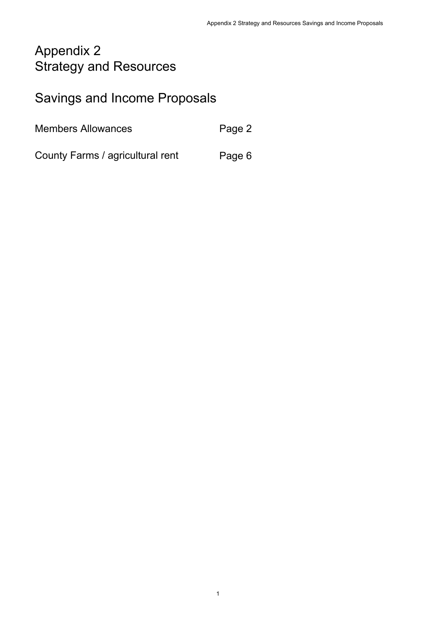# Appendix 2 Strategy and Resources

# Savings and Income Proposals

Page 2 Members Allowances

County Farms / agricultural rent Page 6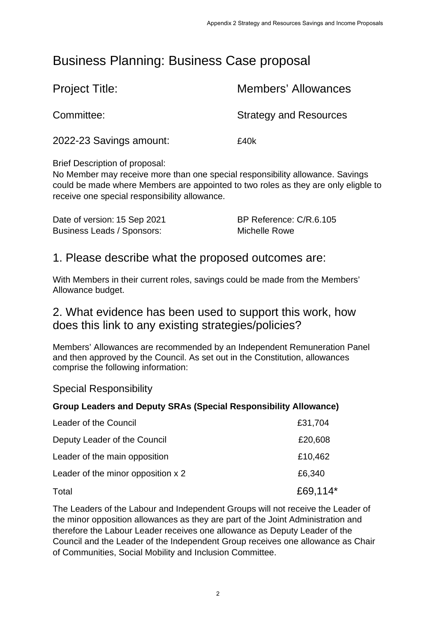# Business Planning: Business Case proposal

| <b>Project Title:</b>   | <b>Members' Allowances</b>    |
|-------------------------|-------------------------------|
| Committee:              | <b>Strategy and Resources</b> |
| 2022-23 Savings amount: | £40k                          |

Brief Description of proposal:

No Member may receive more than one special responsibility allowance. Savings could be made where Members are appointed to two roles as they are only eligble to receive one special responsibility allowance.

Date of version: 15 Sep 2021 BP Reference: C/R.6.105 Business Leads / Sponsors: Michelle Rowe

#### 1. Please describe what the proposed outcomes are:

With Members in their current roles, savings could be made from the Members' Allowance budget.

#### 2. What evidence has been used to support this work, how does this link to any existing strategies/policies?

Members' Allowances are recommended by an Independent Remuneration Panel and then approved by the Council. As set out in the Constitution, allowances comprise the following information:

#### Special Responsibility

#### **Group Leaders and Deputy SRAs (Special Responsibility Allowance)**

| Leader of the Council              | £31,704  |
|------------------------------------|----------|
| Deputy Leader of the Council       | £20,608  |
| Leader of the main opposition      | £10,462  |
| Leader of the minor opposition x 2 | £6,340   |
| Total                              | £69,114* |

The Leaders of the Labour and Independent Groups will not receive the Leader of the minor opposition allowances as they are part of the Joint Administration and therefore the Labour Leader receives one allowance as Deputy Leader of the Council and the Leader of the Independent Group receives one allowance as Chair of Communities, Social Mobility and Inclusion Committee.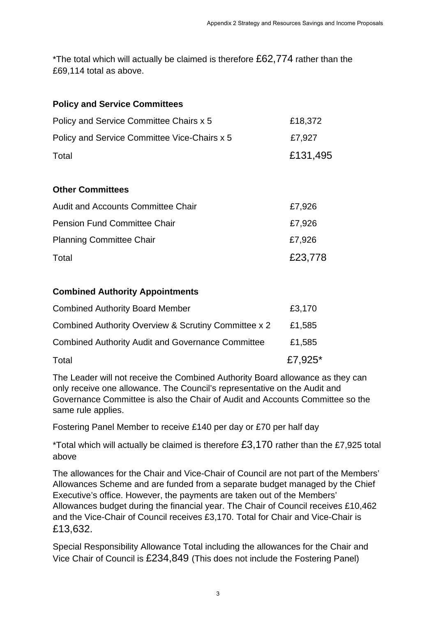\*The total which will actually be claimed is therefore £62,774 rather than the £69,114 total as above.

| <b>Policy and Service Committees</b> |
|--------------------------------------|
|--------------------------------------|

| Policy and Service Committee Chairs x 5      | £18,372  |
|----------------------------------------------|----------|
| Policy and Service Committee Vice-Chairs x 5 | £7.927   |
| Total                                        | £131,495 |

#### **Other Committees**

| <b>Audit and Accounts Committee Chair</b> | £7,926  |
|-------------------------------------------|---------|
| <b>Pension Fund Committee Chair</b>       | £7,926  |
| <b>Planning Committee Chair</b>           | £7,926  |
| Total                                     | £23,778 |

#### **Combined Authority Appointments**

| <b>Combined Authority Board Member</b>                   | £3,170     |
|----------------------------------------------------------|------------|
| Combined Authority Overview & Scrutiny Committee x 2     | £1,585     |
| <b>Combined Authority Audit and Governance Committee</b> | £1,585     |
| Total                                                    | £7,925 $*$ |

The Leader will not receive the Combined Authority Board allowance as they can only receive one allowance. The Council's representative on the Audit and Governance Committee is also the Chair of Audit and Accounts Committee so the same rule applies.

Fostering Panel Member to receive £140 per day or £70 per half day

\*Total which will actually be claimed is therefore £3,170 rather than the £7,925 total above

The allowances for the Chair and Vice-Chair of Council are not part of the Members' Allowances Scheme and are funded from a separate budget managed by the Chief Executive's office. However, the payments are taken out of the Members' Allowances budget during the financial year. The Chair of Council receives £10,462 and the Vice-Chair of Council receives £3,170. Total for Chair and Vice-Chair is £13,632.

Special Responsibility Allowance Total including the allowances for the Chair and Vice Chair of Council is £234,849 (This does not include the Fostering Panel)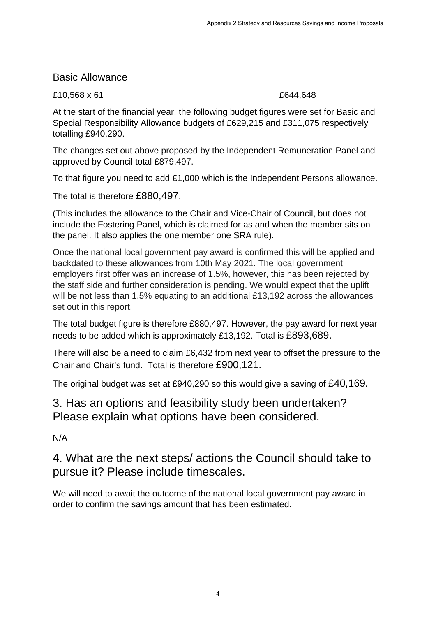#### Basic Allowance

£10,568 x 61 £644,648

At the start of the financial year, the following budget figures were set for Basic and Special Responsibility Allowance budgets of £629,215 and £311,075 respectively totalling £940,290.

The changes set out above proposed by the Independent Remuneration Panel and approved by Council total £879,497.

To that figure you need to add £1,000 which is the Independent Persons allowance.

The total is therefore £880,497.

(This includes the allowance to the Chair and Vice-Chair of Council, but does not include the Fostering Panel, which is claimed for as and when the member sits on the panel. It also applies the one member one SRA rule).

Once the national local government pay award is confirmed this will be applied and backdated to these allowances from 10th May 2021. The local government employers first offer was an increase of 1.5%, however, this has been rejected by the staff side and further consideration is pending. We would expect that the uplift will be not less than 1.5% equating to an additional £13,192 across the allowances set out in this report.

The total budget figure is therefore £880,497. However, the pay award for next year needs to be added which is approximately £13,192. Total is £893,689.

There will also be a need to claim £6,432 from next year to offset the pressure to the Chair and Chair's fund. Total is therefore £900,121.

The original budget was set at £940,290 so this would give a saving of £40,169.

#### 3. Has an options and feasibility study been undertaken? Please explain what options have been considered.

N/A

## 4. What are the next steps/ actions the Council should take to pursue it? Please include timescales.

We will need to await the outcome of the national local government pay award in order to confirm the savings amount that has been estimated.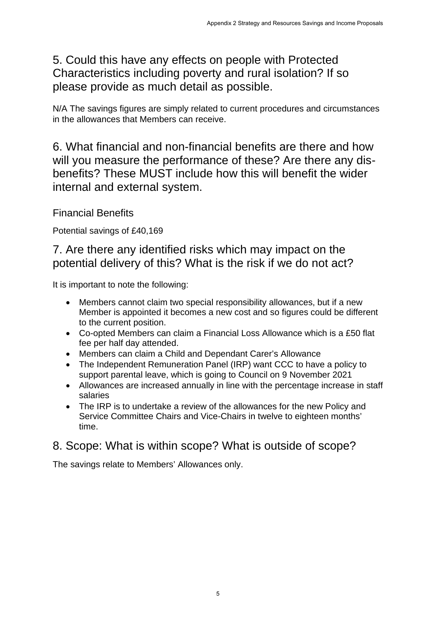5. Could this have any effects on people with Protected Characteristics including poverty and rural isolation? If so please provide as much detail as possible.

N/A The savings figures are simply related to current procedures and circumstances in the allowances that Members can receive.

6. What financial and non-financial benefits are there and how will you measure the performance of these? Are there any disbenefits? These MUST include how this will benefit the wider internal and external system.

Financial Benefits

Potential savings of £40,169

#### 7. Are there any identified risks which may impact on the potential delivery of this? What is the risk if we do not act?

It is important to note the following:

- Members cannot claim two special responsibility allowances, but if a new Member is appointed it becomes a new cost and so figures could be different to the current position.
- Co-opted Members can claim a Financial Loss Allowance which is a £50 flat fee per half day attended.
- Members can claim a Child and Dependant Carer's Allowance
- The Independent Remuneration Panel (IRP) want CCC to have a policy to support parental leave, which is going to Council on 9 November 2021
- Allowances are increased annually in line with the percentage increase in staff salaries
- The IRP is to undertake a review of the allowances for the new Policy and Service Committee Chairs and Vice-Chairs in twelve to eighteen months' time.

## 8. Scope: What is within scope? What is outside of scope?

The savings relate to Members' Allowances only.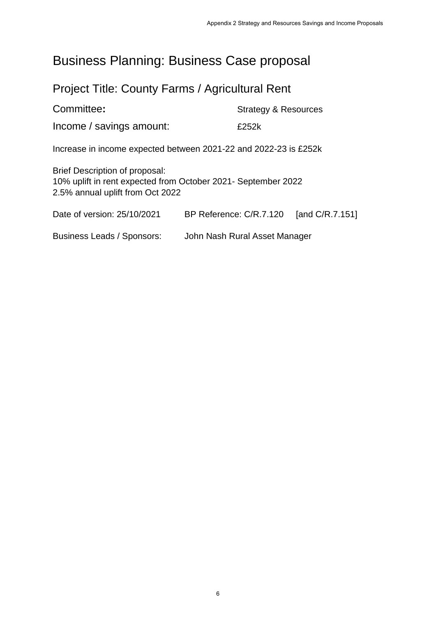# Business Planning: Business Case proposal

# Project Title: County Farms / Agricultural Rent

| Committee:                                                                                                                          | <b>Strategy &amp; Resources</b> |
|-------------------------------------------------------------------------------------------------------------------------------------|---------------------------------|
| Income / savings amount:                                                                                                            | £252k                           |
| Increase in income expected between 2021-22 and 2022-23 is £252k                                                                    |                                 |
| Brief Description of proposal:<br>10% uplift in rent expected from October 2021- September 2022<br>2.5% annual uplift from Oct 2022 |                                 |

| Date of version: 25/10/2021 | BP Reference: C/R.7.120 | [and C/R.7.151] |
|-----------------------------|-------------------------|-----------------|
|-----------------------------|-------------------------|-----------------|

Business Leads / Sponsors: John Nash Rural Asset Manager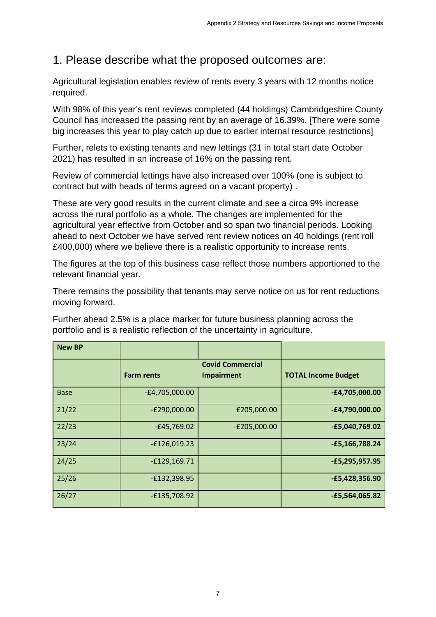## 1. Please describe what the proposed outcomes are:

Agricultural legislation enables review of rents every 3 years with 12 months notice required.

With 98% of this year's rent reviews completed (44 holdings) Cambridgeshire County Council has increased the passing rent by an average of 16.39%. [There were some big increases this year to play catch up due to earlier internal resource restrictions]

Further, relets to existing tenants and new lettings (31 in total start date October 2021) has resulted in an increase of 16% on the passing rent.

Review of commercial lettings have also increased over 100% (one is subject to contract but with heads of terms agreed on a vacant property) .

These are very good results in the current climate and see a circa 9% increase across the rural portfolio as a whole. The changes are implemented for the agricultural year effective from October and so span two financial periods. Looking ahead to next October we have served rent review notices on 40 holdings (rent roll £400,000) where we believe there is a realistic opportunity to increase rents.

The figures at the top of this business case reflect those numbers apportioned to the relevant financial year.

There remains the possibility that tenants may serve notice on us for rent reductions moving forward.

Further ahead 2.5% is a place marker for future business planning across the portfolio and is a realistic reflection of the uncertainty in agriculture.

| <b>New BP</b> |                   |                                              |                            |
|---------------|-------------------|----------------------------------------------|----------------------------|
|               | <b>Farm rents</b> | <b>Covid Commercial</b><br><b>Impairment</b> | <b>TOTAL Income Budget</b> |
| <b>Base</b>   | $-E4,705,000.00$  |                                              | $-E4,705,000.00$           |
| 21/22         | $-E290,000.00$    | £205,000.00                                  | $-E4,790,000.00$           |
| 22/23         | $-£45,769.02$     | $-E205,000.00$                               | $-£5,040,769.02$           |
| 23/24         | $-£126,019.23$    |                                              | $-£5,166,788.24$           |
| 24/25         | $-£129,169.71$    |                                              | $-£5,295,957.95$           |
| 25/26         | $-E132,398.95$    |                                              | $-£5,428,356.90$           |
| 26/27         | $-E135,708.92$    |                                              | $-£5,564,065.82$           |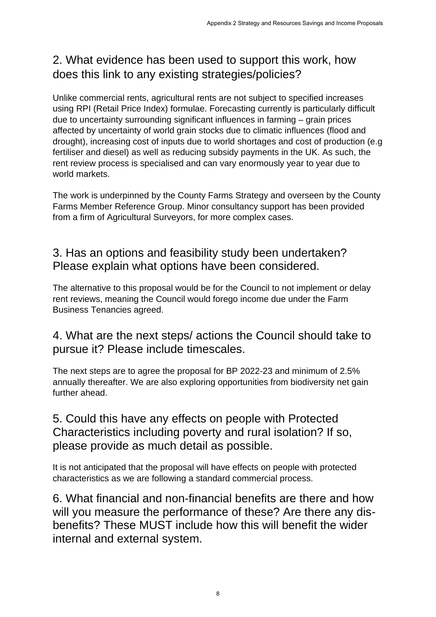## 2. What evidence has been used to support this work, how does this link to any existing strategies/policies?

Unlike commercial rents, agricultural rents are not subject to specified increases using RPI (Retail Price Index) formulae. Forecasting currently is particularly difficult due to uncertainty surrounding significant influences in farming – grain prices affected by uncertainty of world grain stocks due to climatic influences (flood and drought), increasing cost of inputs due to world shortages and cost of production (e.g fertiliser and diesel) as well as reducing subsidy payments in the UK. As such, the rent review process is specialised and can vary enormously year to year due to world markets.

The work is underpinned by the County Farms Strategy and overseen by the County Farms Member Reference Group. Minor consultancy support has been provided from a firm of Agricultural Surveyors, for more complex cases.

## 3. Has an options and feasibility study been undertaken? Please explain what options have been considered.

The alternative to this proposal would be for the Council to not implement or delay rent reviews, meaning the Council would forego income due under the Farm Business Tenancies agreed.

## 4. What are the next steps/ actions the Council should take to pursue it? Please include timescales.

The next steps are to agree the proposal for BP 2022-23 and minimum of 2.5% annually thereafter. We are also exploring opportunities from biodiversity net gain further ahead.

## 5. Could this have any effects on people with Protected Characteristics including poverty and rural isolation? If so, please provide as much detail as possible.

It is not anticipated that the proposal will have effects on people with protected characteristics as we are following a standard commercial process.

6. What financial and non-financial benefits are there and how will you measure the performance of these? Are there any disbenefits? These MUST include how this will benefit the wider internal and external system.